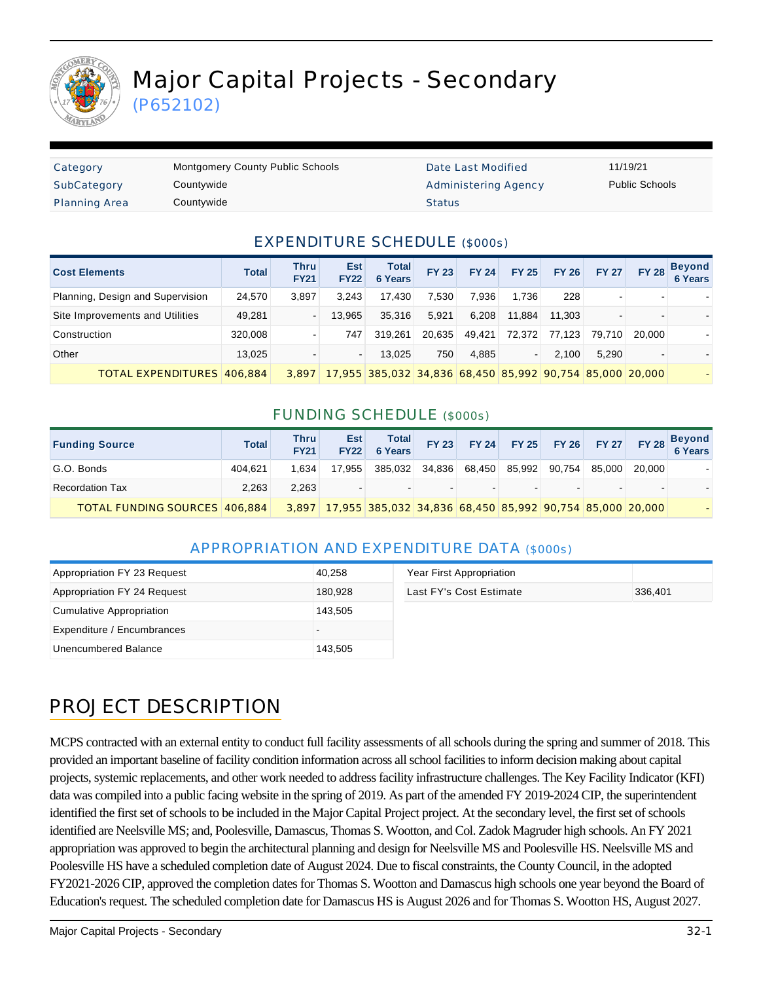

(P652102)

| Category             | <b>Montgomery County Public Schools</b> | Date L        |
|----------------------|-----------------------------------------|---------------|
| SubCategory          | Countywide                              | Admini        |
| <b>Planning Area</b> | Countywide                              | <b>Status</b> |

ate Last Modified 11/19/21 dministering Agency **Public Schools** 

## EXPENDITURE SCHEDULE (\$000s)

| <b>Cost Elements</b>             | <b>Total</b> | Thru<br><b>FY21</b> | <b>Est</b><br><b>FY22</b> | <b>Total</b><br><b>6 Years</b>                           | <b>FY 23</b> | <b>FY 24</b> | <b>FY 25</b> | <b>FY 26</b> | <b>FY 27</b>             |        | FY 28 Beyond<br>6 Years |
|----------------------------------|--------------|---------------------|---------------------------|----------------------------------------------------------|--------------|--------------|--------------|--------------|--------------------------|--------|-------------------------|
| Planning, Design and Supervision | 24.570       | 3.897               | 3.243                     | 17.430                                                   | 7.530        | 7.936        | 1.736        | 228          |                          |        |                         |
| Site Improvements and Utilities  | 49,281       |                     | 13.965                    | 35.316                                                   | 5.921        | 6.208        | 11.884       | 11.303       | $\overline{\phantom{a}}$ |        |                         |
| Construction                     | 320,008      |                     | 747                       | 319.261                                                  | 20.635       | 49.421       | 72,372       | 77.123       | 79.710                   | 20,000 |                         |
| Other                            | 13,025       |                     |                           | 13.025                                                   | 750          | 4.885        |              | 2.100        | 5.290                    |        |                         |
| TOTAL EXPENDITURES 406.884       |              | 3.897               |                           | 17,955 385,032 34,836 68,450 85,992 90,754 85,000 20,000 |              |              |              |              |                          |        |                         |

## FUNDING SCHEDULE (\$000s)

| <b>Funding Source</b>                | <b>Total</b> | Thru<br>FY21 | <b>Est</b><br>FY22 | Total<br>6 Years                                               | <b>FY 23</b> |        |               |        |        | FY 24 FY 25 FY 26 FY 27 FY 28 Beyond |
|--------------------------------------|--------------|--------------|--------------------|----------------------------------------------------------------|--------------|--------|---------------|--------|--------|--------------------------------------|
| G.O. Bonds                           | 404.621      | 1.634        | 17.955             | 385.032                                                        | 34,836       | 68,450 | 85,992 90,754 | 85.000 | 20.000 |                                      |
| <b>Recordation Tax</b>               | 2.263        | 2.263        |                    |                                                                |              | . .    |               |        |        |                                      |
| <b>TOTAL FUNDING SOURCES 406.884</b> |              |              |                    | 3,897 17,955 385,032 34,836 68,450 85,992 90,754 85,000 20,000 |              |        |               |        |        |                                      |

## APPROPRIATION AND EXPENDITURE DATA (\$000s)

| Appropriation FY 23 Request | 40,258  | Year First Appropriation |         |
|-----------------------------|---------|--------------------------|---------|
| Appropriation FY 24 Request | 180,928 | Last FY's Cost Estimate  | 336,401 |
| Cumulative Appropriation    | 143,505 |                          |         |
| Expenditure / Encumbrances  |         |                          |         |
| Unencumbered Balance        | 143,505 |                          |         |

## PROJECT DESCRIPTION

MCPS contracted with an external entity to conduct full facility assessments of all schools during the spring and summer of 2018. This provided an important baseline of facility condition information across all school facilities to inform decision making about capital projects, systemic replacements, and other work needed to address facility infrastructure challenges. The Key Facility Indicator (KFI) data was compiled into a public facing website in the spring of 2019. As part of the amended FY 2019-2024 CIP, the superintendent identified the first set of schools to be included in the Major Capital Project project. At the secondary level, the first set of schools identified are Neelsville MS; and, Poolesville, Damascus, Thomas S. Wootton, and Col. Zadok Magruder high schools. An FY 2021 appropriation was approved to begin the architectural planning and design for Neelsville MS and Poolesville HS. Neelsville MS and Poolesville HS have a scheduled completion date of August 2024. Due to fiscal constraints, the County Council, in the adopted FY2021-2026 CIP, approved the completion dates for Thomas S. Wootton and Damascus high schools one year beyond the Board of Education's request. The scheduled completion date for Damascus HS is August 2026 and for Thomas S. Wootton HS, August 2027.